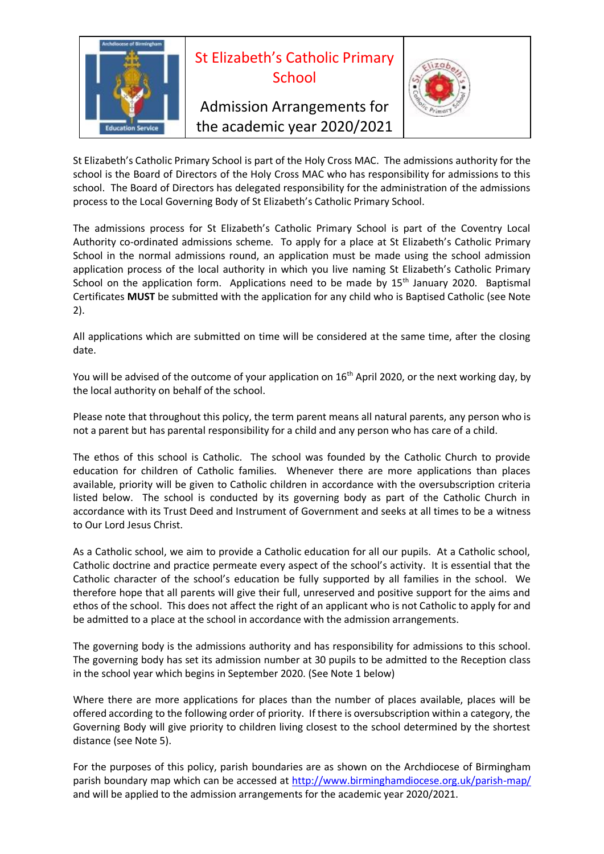

St Elizabeth's Catholic Primary School is part of the Holy Cross MAC. The admissions authority for the school is the Board of Directors of the Holy Cross MAC who has responsibility for admissions to this school. The Board of Directors has delegated responsibility for the administration of the admissions process to the Local Governing Body of St Elizabeth's Catholic Primary School.

The admissions process for St Elizabeth's Catholic Primary School is part of the Coventry Local Authority co-ordinated admissions scheme. To apply for a place at St Elizabeth's Catholic Primary School in the normal admissions round, an application must be made using the school admission application process of the local authority in which you live naming St Elizabeth's Catholic Primary School on the application form. Applications need to be made by  $15<sup>th</sup>$  January 2020. Baptismal Certificates **MUST** be submitted with the application for any child who is Baptised Catholic (see Note 2).

All applications which are submitted on time will be considered at the same time, after the closing date.

You will be advised of the outcome of your application on 16<sup>th</sup> April 2020, or the next working day, by the local authority on behalf of the school.

Please note that throughout this policy, the term parent means all natural parents, any person who is not a parent but has parental responsibility for a child and any person who has care of a child.

The ethos of this school is Catholic. The school was founded by the Catholic Church to provide education for children of Catholic families. Whenever there are more applications than places available, priority will be given to Catholic children in accordance with the oversubscription criteria listed below. The school is conducted by its governing body as part of the Catholic Church in accordance with its Trust Deed and Instrument of Government and seeks at all times to be a witness to Our Lord Jesus Christ.

As a Catholic school, we aim to provide a Catholic education for all our pupils. At a Catholic school, Catholic doctrine and practice permeate every aspect of the school's activity. It is essential that the Catholic character of the school's education be fully supported by all families in the school. We therefore hope that all parents will give their full, unreserved and positive support for the aims and ethos of the school. This does not affect the right of an applicant who is not Catholic to apply for and be admitted to a place at the school in accordance with the admission arrangements.

The governing body is the admissions authority and has responsibility for admissions to this school. The governing body has set its admission number at 30 pupils to be admitted to the Reception class in the school year which begins in September 2020. (See Note 1 below)

Where there are more applications for places than the number of places available, places will be offered according to the following order of priority. If there is oversubscription within a category, the Governing Body will give priority to children living closest to the school determined by the shortest distance (see Note 5).

For the purposes of this policy, parish boundaries are as shown on the Archdiocese of Birmingham parish boundary map which can be accessed at<http://www.birminghamdiocese.org.uk/parish-map/> and will be applied to the admission arrangements for the academic year 2020/2021.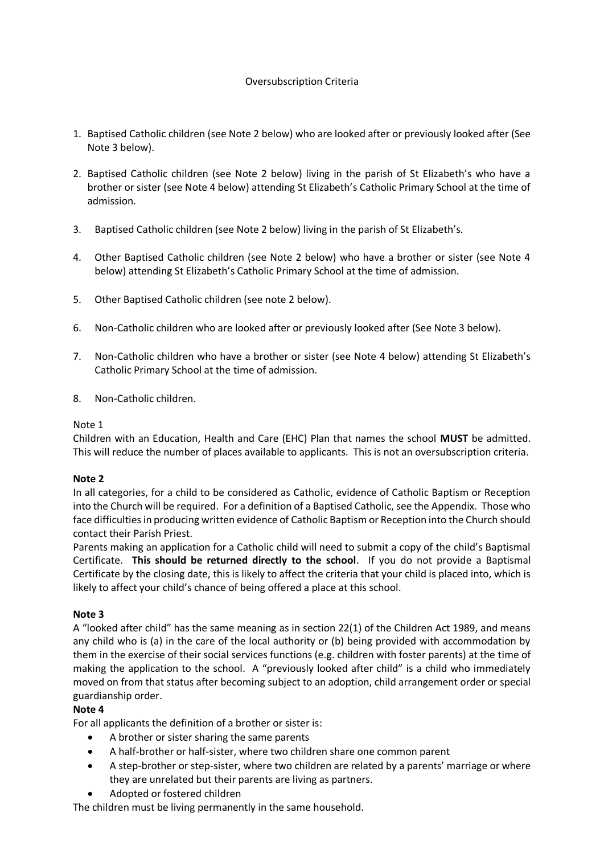# Oversubscription Criteria

- 1. Baptised Catholic children (see Note 2 below) who are looked after or previously looked after (See Note 3 below).
- 2. Baptised Catholic children (see Note 2 below) living in the parish of St Elizabeth's who have a brother or sister (see Note 4 below) attending St Elizabeth's Catholic Primary School at the time of admission.
- 3. Baptised Catholic children (see Note 2 below) living in the parish of St Elizabeth's.
- 4. Other Baptised Catholic children (see Note 2 below) who have a brother or sister (see Note 4 below) attending St Elizabeth's Catholic Primary School at the time of admission.
- 5. Other Baptised Catholic children (see note 2 below).
- 6. Non-Catholic children who are looked after or previously looked after (See Note 3 below).
- 7. Non-Catholic children who have a brother or sister (see Note 4 below) attending St Elizabeth's Catholic Primary School at the time of admission.
- 8. Non-Catholic children.

# Note 1

Children with an Education, Health and Care (EHC) Plan that names the school **MUST** be admitted. This will reduce the number of places available to applicants. This is not an oversubscription criteria.

# **Note 2**

In all categories, for a child to be considered as Catholic, evidence of Catholic Baptism or Reception into the Church will be required. For a definition of a Baptised Catholic, see the Appendix. Those who face difficulties in producing written evidence of Catholic Baptism or Reception into the Church should contact their Parish Priest.

Parents making an application for a Catholic child will need to submit a copy of the child's Baptismal Certificate. **This should be returned directly to the school**. If you do not provide a Baptismal Certificate by the closing date, this is likely to affect the criteria that your child is placed into, which is likely to affect your child's chance of being offered a place at this school.

# **Note 3**

A "looked after child" has the same meaning as in section 22(1) of the Children Act 1989, and means any child who is (a) in the care of the local authority or (b) being provided with accommodation by them in the exercise of their social services functions (e.g. children with foster parents) at the time of making the application to the school. A "previously looked after child" is a child who immediately moved on from that status after becoming subject to an adoption, child arrangement order or special guardianship order.

# **Note 4**

For all applicants the definition of a brother or sister is:

- A brother or sister sharing the same parents
- A half-brother or half-sister, where two children share one common parent
- A step-brother or step-sister, where two children are related by a parents' marriage or where they are unrelated but their parents are living as partners.
- Adopted or fostered children

The children must be living permanently in the same household.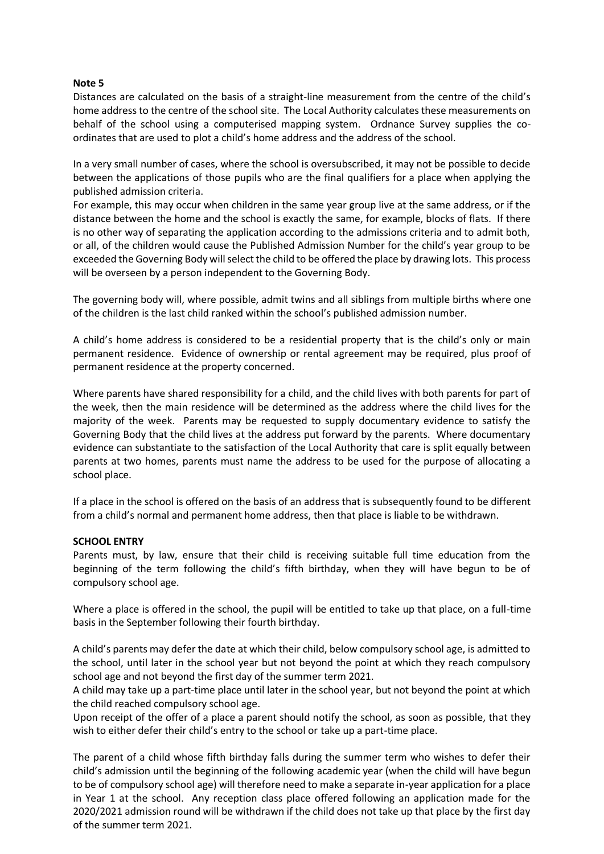### **Note 5**

Distances are calculated on the basis of a straight-line measurement from the centre of the child's home address to the centre of the school site. The Local Authority calculates these measurements on behalf of the school using a computerised mapping system. Ordnance Survey supplies the coordinates that are used to plot a child's home address and the address of the school.

In a very small number of cases, where the school is oversubscribed, it may not be possible to decide between the applications of those pupils who are the final qualifiers for a place when applying the published admission criteria.

For example, this may occur when children in the same year group live at the same address, or if the distance between the home and the school is exactly the same, for example, blocks of flats. If there is no other way of separating the application according to the admissions criteria and to admit both, or all, of the children would cause the Published Admission Number for the child's year group to be exceeded the Governing Body will select the child to be offered the place by drawing lots. This process will be overseen by a person independent to the Governing Body.

The governing body will, where possible, admit twins and all siblings from multiple births where one of the children is the last child ranked within the school's published admission number.

A child's home address is considered to be a residential property that is the child's only or main permanent residence. Evidence of ownership or rental agreement may be required, plus proof of permanent residence at the property concerned.

Where parents have shared responsibility for a child, and the child lives with both parents for part of the week, then the main residence will be determined as the address where the child lives for the majority of the week. Parents may be requested to supply documentary evidence to satisfy the Governing Body that the child lives at the address put forward by the parents. Where documentary evidence can substantiate to the satisfaction of the Local Authority that care is split equally between parents at two homes, parents must name the address to be used for the purpose of allocating a school place.

If a place in the school is offered on the basis of an address that is subsequently found to be different from a child's normal and permanent home address, then that place is liable to be withdrawn.

#### **SCHOOL ENTRY**

Parents must, by law, ensure that their child is receiving suitable full time education from the beginning of the term following the child's fifth birthday, when they will have begun to be of compulsory school age.

Where a place is offered in the school, the pupil will be entitled to take up that place, on a full-time basis in the September following their fourth birthday.

A child's parents may defer the date at which their child, below compulsory school age, is admitted to the school, until later in the school year but not beyond the point at which they reach compulsory school age and not beyond the first day of the summer term 2021.

A child may take up a part-time place until later in the school year, but not beyond the point at which the child reached compulsory school age.

Upon receipt of the offer of a place a parent should notify the school, as soon as possible, that they wish to either defer their child's entry to the school or take up a part-time place.

The parent of a child whose fifth birthday falls during the summer term who wishes to defer their child's admission until the beginning of the following academic year (when the child will have begun to be of compulsory school age) will therefore need to make a separate in-year application for a place in Year 1 at the school. Any reception class place offered following an application made for the 2020/2021 admission round will be withdrawn if the child does not take up that place by the first day of the summer term 2021.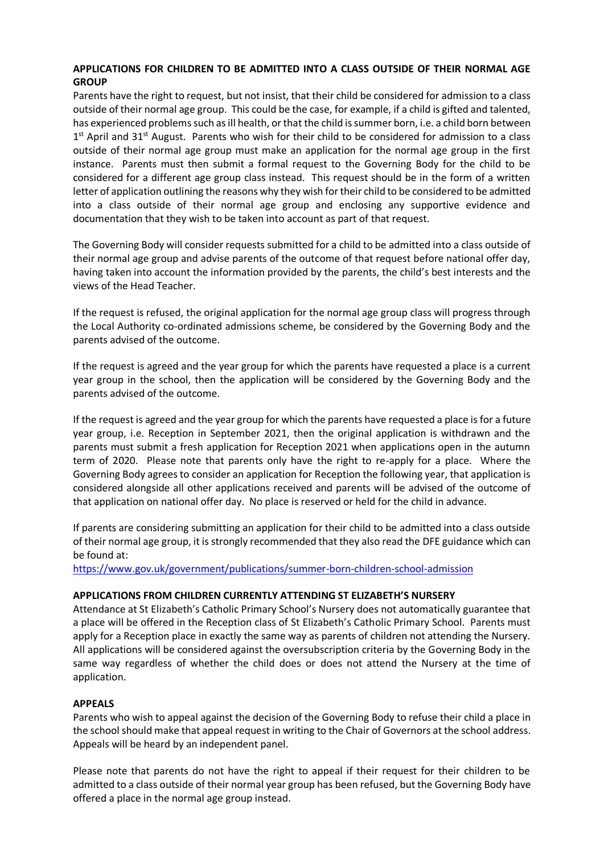## **APPLICATIONS FOR CHILDREN TO BE ADMITTED INTO A CLASS OUTSIDE OF THEIR NORMAL AGE GROUP**

Parents have the right to request, but not insist, that their child be considered for admission to a class outside of their normal age group. This could be the case, for example, if a child is gifted and talented, has experienced problems such as ill health, or that the child is summer born, i.e. a child born between 1<sup>st</sup> April and 31<sup>st</sup> August. Parents who wish for their child to be considered for admission to a class outside of their normal age group must make an application for the normal age group in the first instance. Parents must then submit a formal request to the Governing Body for the child to be considered for a different age group class instead. This request should be in the form of a written letter of application outlining the reasons why they wish for their child to be considered to be admitted into a class outside of their normal age group and enclosing any supportive evidence and documentation that they wish to be taken into account as part of that request.

The Governing Body will consider requests submitted for a child to be admitted into a class outside of their normal age group and advise parents of the outcome of that request before national offer day, having taken into account the information provided by the parents, the child's best interests and the views of the Head Teacher.

If the request is refused, the original application for the normal age group class will progress through the Local Authority co-ordinated admissions scheme, be considered by the Governing Body and the parents advised of the outcome.

If the request is agreed and the year group for which the parents have requested a place is a current year group in the school, then the application will be considered by the Governing Body and the parents advised of the outcome.

If the request is agreed and the year group for which the parents have requested a place is for a future year group, i.e. Reception in September 2021, then the original application is withdrawn and the parents must submit a fresh application for Reception 2021 when applications open in the autumn term of 2020. Please note that parents only have the right to re-apply for a place. Where the Governing Body agrees to consider an application for Reception the following year, that application is considered alongside all other applications received and parents will be advised of the outcome of that application on national offer day. No place is reserved or held for the child in advance.

If parents are considering submitting an application for their child to be admitted into a class outside of their normal age group, it is strongly recommended that they also read the DFE guidance which can be found at:

<https://www.gov.uk/government/publications/summer-born-children-school-admission>

### **APPLICATIONS FROM CHILDREN CURRENTLY ATTENDING ST ELIZABETH'S NURSERY**

Attendance at St Elizabeth's Catholic Primary School's Nursery does not automatically guarantee that a place will be offered in the Reception class of St Elizabeth's Catholic Primary School. Parents must apply for a Reception place in exactly the same way as parents of children not attending the Nursery. All applications will be considered against the oversubscription criteria by the Governing Body in the same way regardless of whether the child does or does not attend the Nursery at the time of application.

### **APPEALS**

Parents who wish to appeal against the decision of the Governing Body to refuse their child a place in the school should make that appeal request in writing to the Chair of Governors at the school address. Appeals will be heard by an independent panel.

Please note that parents do not have the right to appeal if their request for their children to be admitted to a class outside of their normal year group has been refused, but the Governing Body have offered a place in the normal age group instead.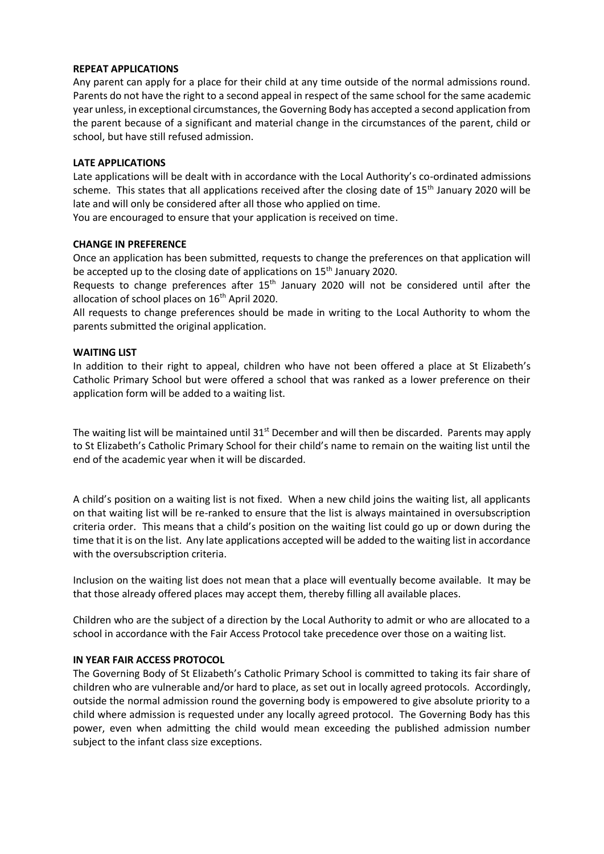### **REPEAT APPLICATIONS**

Any parent can apply for a place for their child at any time outside of the normal admissions round. Parents do not have the right to a second appeal in respect of the same school for the same academic year unless, in exceptional circumstances, the Governing Body has accepted a second application from the parent because of a significant and material change in the circumstances of the parent, child or school, but have still refused admission.

#### **LATE APPLICATIONS**

Late applications will be dealt with in accordance with the Local Authority's co-ordinated admissions scheme. This states that all applications received after the closing date of 15<sup>th</sup> January 2020 will be late and will only be considered after all those who applied on time.

You are encouraged to ensure that your application is received on time.

#### **CHANGE IN PREFERENCE**

Once an application has been submitted, requests to change the preferences on that application will be accepted up to the closing date of applications on 15<sup>th</sup> January 2020.

Requests to change preferences after 15<sup>th</sup> January 2020 will not be considered until after the allocation of school places on 16<sup>th</sup> April 2020.

All requests to change preferences should be made in writing to the Local Authority to whom the parents submitted the original application.

#### **WAITING LIST**

In addition to their right to appeal, children who have not been offered a place at St Elizabeth's Catholic Primary School but were offered a school that was ranked as a lower preference on their application form will be added to a waiting list.

The waiting list will be maintained until 31<sup>st</sup> December and will then be discarded. Parents may apply to St Elizabeth's Catholic Primary School for their child's name to remain on the waiting list until the end of the academic year when it will be discarded.

A child's position on a waiting list is not fixed. When a new child joins the waiting list, all applicants on that waiting list will be re-ranked to ensure that the list is always maintained in oversubscription criteria order. This means that a child's position on the waiting list could go up or down during the time that it is on the list. Any late applications accepted will be added to the waiting list in accordance with the oversubscription criteria.

Inclusion on the waiting list does not mean that a place will eventually become available. It may be that those already offered places may accept them, thereby filling all available places.

Children who are the subject of a direction by the Local Authority to admit or who are allocated to a school in accordance with the Fair Access Protocol take precedence over those on a waiting list.

### **IN YEAR FAIR ACCESS PROTOCOL**

The Governing Body of St Elizabeth's Catholic Primary School is committed to taking its fair share of children who are vulnerable and/or hard to place, as set out in locally agreed protocols. Accordingly, outside the normal admission round the governing body is empowered to give absolute priority to a child where admission is requested under any locally agreed protocol. The Governing Body has this power, even when admitting the child would mean exceeding the published admission number subject to the infant class size exceptions.